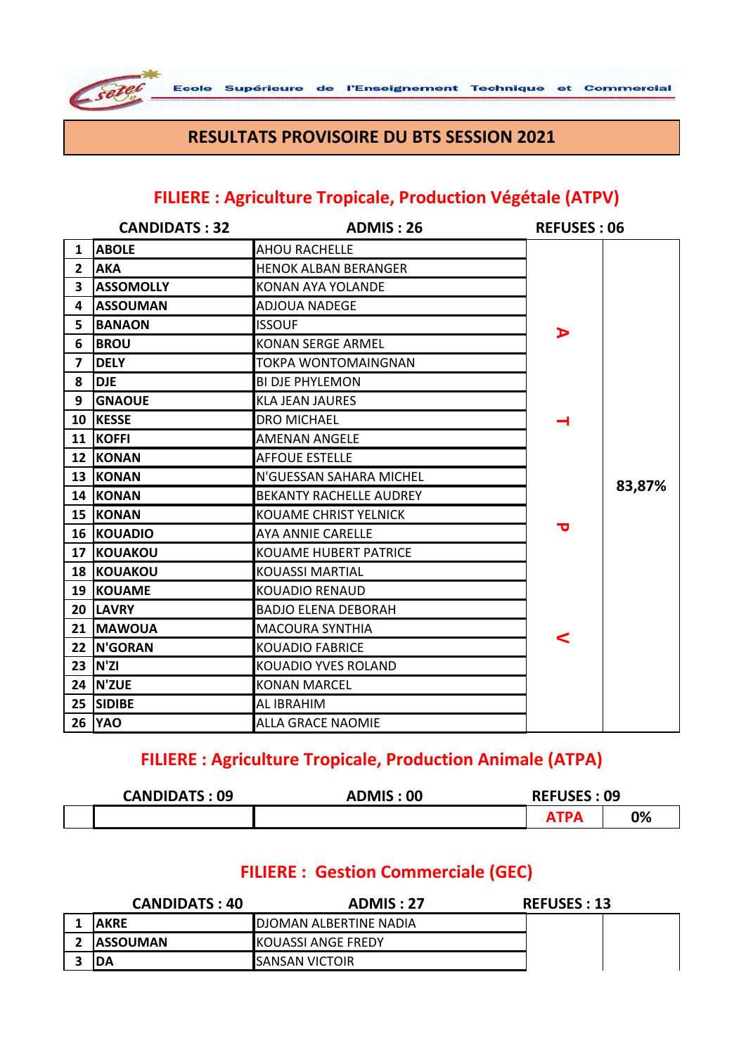

#### **RESULTATS PROVISOIRE DU BTS SESSION 2021**

#### **FILIERE : Agriculture Tropicale, Production Végétale (ATPV)**

|                         | <b>CANDIDATS: 32</b> | <b>ADMIS: 26</b>               | <b>REFUSES: 06</b> |        |
|-------------------------|----------------------|--------------------------------|--------------------|--------|
| $\mathbf{1}$            | <b>ABOLE</b>         | <b>AHOU RACHELLE</b>           |                    |        |
| $\mathbf{2}$            | <b>AKA</b>           | <b>HENOK ALBAN BERANGER</b>    |                    |        |
| $\overline{\mathbf{3}}$ | <b>ASSOMOLLY</b>     | <b>KONAN AYA YOLANDE</b>       |                    |        |
| 4                       | <b>ASSOUMAN</b>      | <b>ADJOUA NADEGE</b>           |                    |        |
| 5                       | <b>BANAON</b>        | <b>ISSOUF</b>                  | ⋗                  |        |
| 6                       | <b>BROU</b>          | <b>KONAN SERGE ARMEL</b>       |                    |        |
| $\overline{\mathbf{z}}$ | <b>DELY</b>          | TOKPA WONTOMAINGNAN            |                    |        |
| 8                       | <b>DJE</b>           | <b>BI DJE PHYLEMON</b>         |                    |        |
| 9                       | <b>GNAOUE</b>        | <b>KLA JEAN JAURES</b>         |                    |        |
| 10                      | <b>KESSE</b>         | DRO MICHAEL                    |                    |        |
|                         | 11 KOFFI             | <b>AMENAN ANGELE</b>           |                    |        |
|                         | 12 KONAN             | <b>AFFOUE ESTELLE</b>          |                    |        |
|                         | 13 KONAN             | N'GUESSAN SAHARA MICHEL        |                    | 83,87% |
|                         | 14 KONAN             | <b>BEKANTY RACHELLE AUDREY</b> |                    |        |
|                         | <b>15 KONAN</b>      | <b>KOUAME CHRIST YELNICK</b>   |                    |        |
|                         | <b>16 KOUADIO</b>    | <b>AYA ANNIE CARELLE</b>       | ᅮ                  |        |
| 17                      | KOUAKOU              | <b>KOUAME HUBERT PATRICE</b>   |                    |        |
|                         | <b>18 KOUAKOU</b>    | <b>KOUASSI MARTIAL</b>         |                    |        |
| 19                      | <b>KOUAME</b>        | <b>KOUADIO RENAUD</b>          |                    |        |
|                         | 20 LAVRY             | <b>BADJO ELENA DEBORAH</b>     |                    |        |
|                         | 21   MAWOUA          | <b>MACOURA SYNTHIA</b>         | <                  |        |
| 22                      | <b>N'GORAN</b>       | <b>KOUADIO FABRICE</b>         |                    |        |
|                         | 23 N'ZI              | KOUADIO YVES ROLAND            |                    |        |
|                         | <b>24 N'ZUE</b>      | <b>KONAN MARCEL</b>            |                    |        |
| 25                      | <b>SIDIBE</b>        | AL IBRAHIM                     |                    |        |
| 26                      | <b>YAO</b>           | <b>ALLA GRACE NAOMIE</b>       |                    |        |

#### **FILIERE : Agriculture Tropicale, Production Animale (ATPA)**

| <b>CANDIDATS: 09</b> | <b>ADMIS: 00</b> | <b>REFUSES: 09</b> |    |
|----------------------|------------------|--------------------|----|
|                      |                  |                    | 0% |

#### **FILIERE : Gestion Commerciale (GEC)**

| <b>CANDIDATS: 40</b> | ADMIS: 27                      | <b>REFUSES : 13</b> |
|----------------------|--------------------------------|---------------------|
| <b>AKRE</b>          | <b>IDJOMAN ALBERTINE NADIA</b> |                     |
| <b>IASSOUMAN</b>     | <b>KOUASSI ANGE FREDY</b>      |                     |
| 'DA                  | <b>ISANSAN VICTOIR</b>         |                     |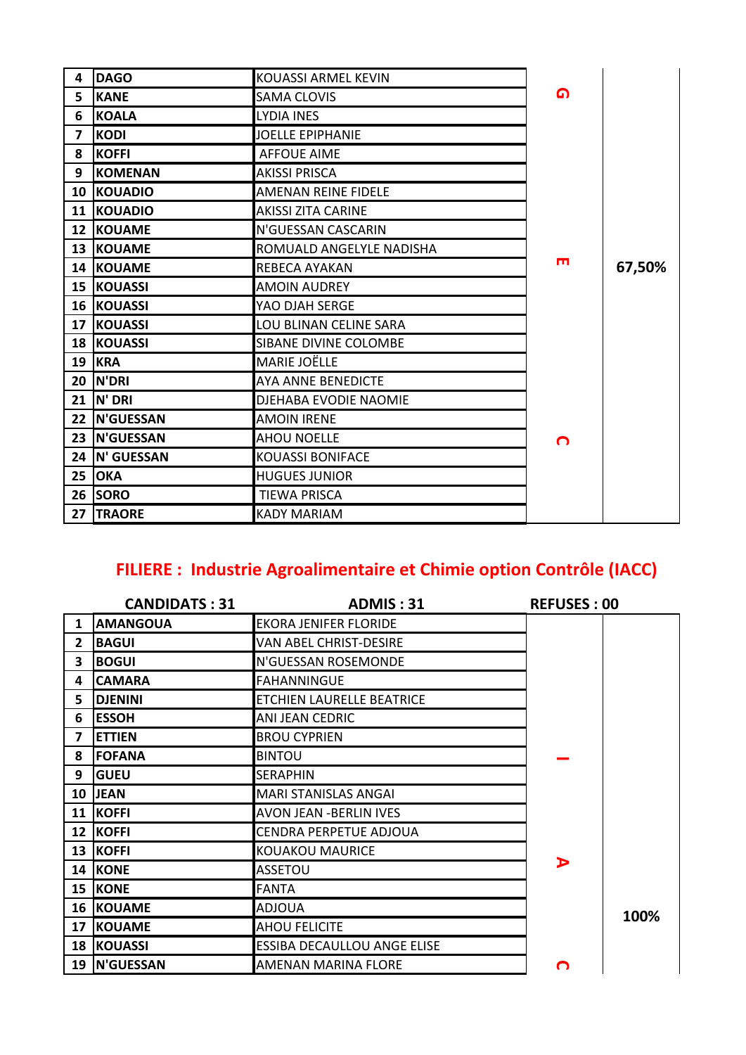| 4               | <b>DAGO</b>       | <b>KOUASSI ARMEL KEVIN</b>   |                |        |
|-----------------|-------------------|------------------------------|----------------|--------|
| 5               | <b>KANE</b>       | <b>SAMA CLOVIS</b>           | മ              |        |
| 6               | <b>KOALA</b>      | <b>LYDIA INES</b>            |                |        |
| 7               | <b>KODI</b>       | <b>JOELLE EPIPHANIE</b>      |                |        |
| 8               | <b>KOFFI</b>      | <b>AFFOUE AIME</b>           |                |        |
| 9               | <b>KOMENAN</b>    | <b>AKISSI PRISCA</b>         |                |        |
|                 | <b>10 KOUADIO</b> | AMENAN REINE FIDELE          |                |        |
|                 | 11 KOUADIO        | <b>AKISSI ZITA CARINE</b>    |                |        |
| 12 <sup>2</sup> | <b>KOUAME</b>     | N'GUESSAN CASCARIN           |                |        |
|                 | 13 KOUAME         | ROMUALD ANGELYLE NADISHA     |                |        |
|                 | 14 KOUAME         | REBECA AYAKAN                | $\blacksquare$ | 67,50% |
|                 | 15 KOUASSI        | <b>AMOIN AUDREY</b>          |                |        |
|                 | <b>16 KOUASSI</b> | YAO DJAH SERGE               |                |        |
|                 | 17 KOUASSI        | LOU BLINAN CELINE SARA       |                |        |
|                 | <b>18 KOUASSI</b> | <b>SIBANE DIVINE COLOMBE</b> |                |        |
|                 | <b>19 KRA</b>     | <b>MARIE JOËLLE</b>          |                |        |
| 20              | <b>N'DRI</b>      | AYA ANNE BENEDICTE           |                |        |
| 21              | N' DRI            | DJEHABA EVODIE NAOMIE        |                |        |
|                 | 22 N'GUESSAN      | <b>AMOIN IRENE</b>           |                |        |
| 23              | N'GUESSAN         | <b>AHOU NOELLE</b>           | O              |        |
|                 | 24 IN' GUESSAN    | <b>KOUASSI BONIFACE</b>      |                |        |
| 25              | <b>OKA</b>        | <b>HUGUES JUNIOR</b>         |                |        |
| 26              | <b>SORO</b>       | <b>TIEWA PRISCA</b>          |                |        |
| 27              | <b>TRAORE</b>     | <b>KADY MARIAM</b>           |                |        |

# FILIERE : Industrie Agroalimentaire et Chimie option Contrôle (IACC)

|              | <b>CANDIDATS: 31</b> | <b>ADMIS: 31</b>               | <b>REFUSES: 00</b> |      |
|--------------|----------------------|--------------------------------|--------------------|------|
| $\mathbf{1}$ | <b>AMANGOUA</b>      | <b>EKORA JENIFER FLORIDE</b>   |                    |      |
| $\mathbf{2}$ | <b>BAGUI</b>         | VAN ABEL CHRIST-DESIRE         |                    |      |
| 3            | <b>BOGUI</b>         | N'GUESSAN ROSEMONDE            |                    |      |
| 4            | <b>CAMARA</b>        | FAHANNINGUE                    |                    |      |
| 5.           | <b>DJENINI</b>       | ETCHIEN LAURELLE BEATRICE      |                    |      |
| 6            | <b>ESSOH</b>         | ANI JEAN CEDRIC                |                    |      |
| 7            | <b>ETTIEN</b>        | <b>BROU CYPRIEN</b>            |                    |      |
| 8            | <b>FOFANA</b>        | <b>BINTOU</b>                  |                    |      |
| 9            | <b>GUEU</b>          | <b>SERAPHIN</b>                |                    |      |
|              | 10 JEAN              | <b>MARI STANISLAS ANGAI</b>    |                    |      |
| 11           | <b>KOFFI</b>         | <b>AVON JEAN - BERLIN IVES</b> |                    |      |
| 12           | <b>KOFFI</b>         | CENDRA PERPETUE ADJOUA         |                    |      |
| 13           | KOFFI                | <b>KOUAKOU MAURICE</b>         |                    |      |
|              | 14 KONE              | <b>ASSETOU</b>                 | D                  |      |
| 15           | <b>KONE</b>          | <b>FANTA</b>                   |                    |      |
|              | <b>16 KOUAME</b>     | <b>ADJOUA</b>                  |                    | 100% |
| 17           | <b>KOUAME</b>        | <b>AHOU FELICITE</b>           |                    |      |
|              | <b>18 KOUASSI</b>    | ESSIBA DECAULLOU ANGE ELISE    |                    |      |
| 19           | <b>N'GUESSAN</b>     | <b>AMENAN MARINA FLORE</b>     | റ                  |      |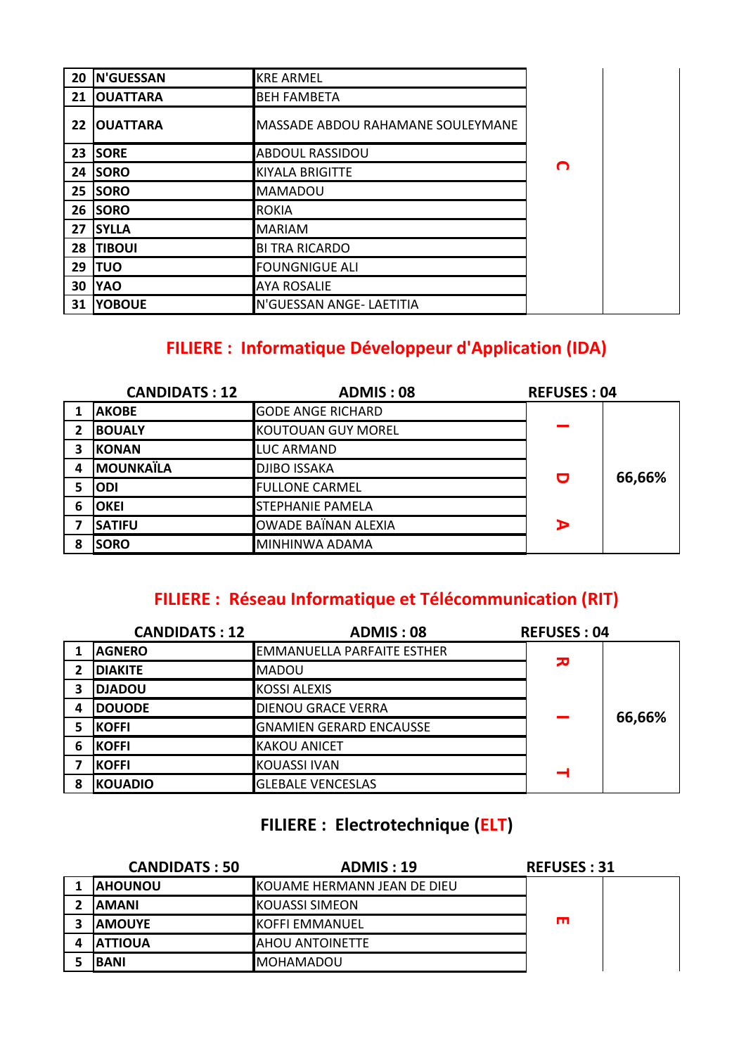| 20 | N'GUESSAN       | <b>KRE ARMEL</b>                  |   |  |
|----|-----------------|-----------------------------------|---|--|
| 21 | <b>OUATTARA</b> | <b>BEH FAMBETA</b>                |   |  |
| 22 | <b>OUATTARA</b> | MASSADE ABDOU RAHAMANE SOULEYMANE |   |  |
| 23 | <b>SORE</b>     | ABDOUL RASSIDOU                   |   |  |
| 24 | <b>SORO</b>     | <b>KIYALA BRIGITTE</b>            | O |  |
| 25 | <b>SORO</b>     | <b>MAMADOU</b>                    |   |  |
| 26 | <b>SORO</b>     | <b>ROKIA</b>                      |   |  |
| 27 | <b>SYLLA</b>    | <b>MARIAM</b>                     |   |  |
| 28 | <b>TIBOUI</b>   | <b>BI TRA RICARDO</b>             |   |  |
| 29 | <b>ITUO</b>     | <b>FOUNGNIGUE ALI</b>             |   |  |
| 30 | <b>YAO</b>      | <b>AYA ROSALIE</b>                |   |  |
| 31 | <b>YOBOUE</b>   | N'GUESSAN ANGE- LAETITIA          |   |  |

### **FILIERE : Informatique Développeur d'Application (IDA)**

| <b>CANDIDATS: 12</b> |                  | <b>ADMIS: 08</b>           | <b>REFUSES: 04</b> |        |
|----------------------|------------------|----------------------------|--------------------|--------|
|                      | <b>AKOBE</b>     | <b>GODE ANGE RICHARD</b>   |                    |        |
| 2                    | <b>BOUALY</b>    | <b>KOUTOUAN GUY MOREL</b>  |                    |        |
| 3                    | <b>KONAN</b>     | LUC ARMAND                 |                    |        |
| 4                    | <b>MOUNKAÏLA</b> | <b>DJIBO ISSAKA</b>        |                    | 66,66% |
|                      | <b>ODI</b>       | <b>FULLONE CARMEL</b>      | O                  |        |
| 6                    | <b>OKEI</b>      | <b>STEPHANIE PAMELA</b>    |                    |        |
|                      | <b>SATIFU</b>    | <b>OWADE BAÏNAN ALEXIA</b> | D                  |        |
| 8                    | <b>SORO</b>      | MINHINWA ADAMA             |                    |        |

### **FILIERE : Réseau Informatique et Télécommunication (RIT)**

|                | <b>CANDIDATS: 12</b> | <b>ADMIS: 08</b>               | <b>REFUSES: 04</b> |        |
|----------------|----------------------|--------------------------------|--------------------|--------|
|                | <b>AGNERO</b>        | EMMANUELLA PARFAITE ESTHER     |                    |        |
| $\overline{2}$ | <b>DIAKITE</b>       | <b>MADOU</b>                   | 고                  |        |
| 3              | <b>DJADOU</b>        | <b>KOSSI ALEXIS</b>            |                    |        |
| 4              | <b>DOUODE</b>        | <b>DIENOU GRACE VERRA</b>      |                    | 66,66% |
|                | <b>KOFFI</b>         | <b>GNAMIEN GERARD ENCAUSSE</b> |                    |        |
| 6              | <b>KOFFI</b>         | <b>KAKOU ANICET</b>            |                    |        |
|                | <b>KOFFI</b>         | <b>KOUASSI IVAN</b>            |                    |        |
| 8              | <b>KOUADIO</b>       | <b>GLEBALE VENCESLAS</b>       |                    |        |

### **FILIERE : Electrotechnique (ELT)**

|              | <b>CANDIDATS: 50</b> | <b>ADMIS: 19</b>            | <b>REFUSES: 31</b> |
|--------------|----------------------|-----------------------------|--------------------|
| 1            | <b>AHOUNOU</b>       | KOUAME HERMANN JEAN DE DIEU |                    |
| $\mathbf{2}$ | <b>AMANI</b>         | <b>KOUASSI SIMEON</b>       |                    |
| 3            | <b>AMOUYE</b>        | <b>KOFFI EMMANUEL</b>       | m                  |
| 4            | <b>ATTIOUA</b>       | AHOU ANTOINETTE             |                    |
| 5.           | <b>BANI</b>          | <b>MOHAMADOU</b>            |                    |
|              |                      |                             |                    |
|              |                      |                             |                    |
|              |                      |                             |                    |
|              |                      |                             |                    |
|              |                      |                             |                    |
|              |                      |                             |                    |
|              |                      |                             |                    |
|              |                      |                             |                    |
|              |                      |                             |                    |
|              |                      |                             |                    |
|              |                      |                             |                    |
|              |                      |                             |                    |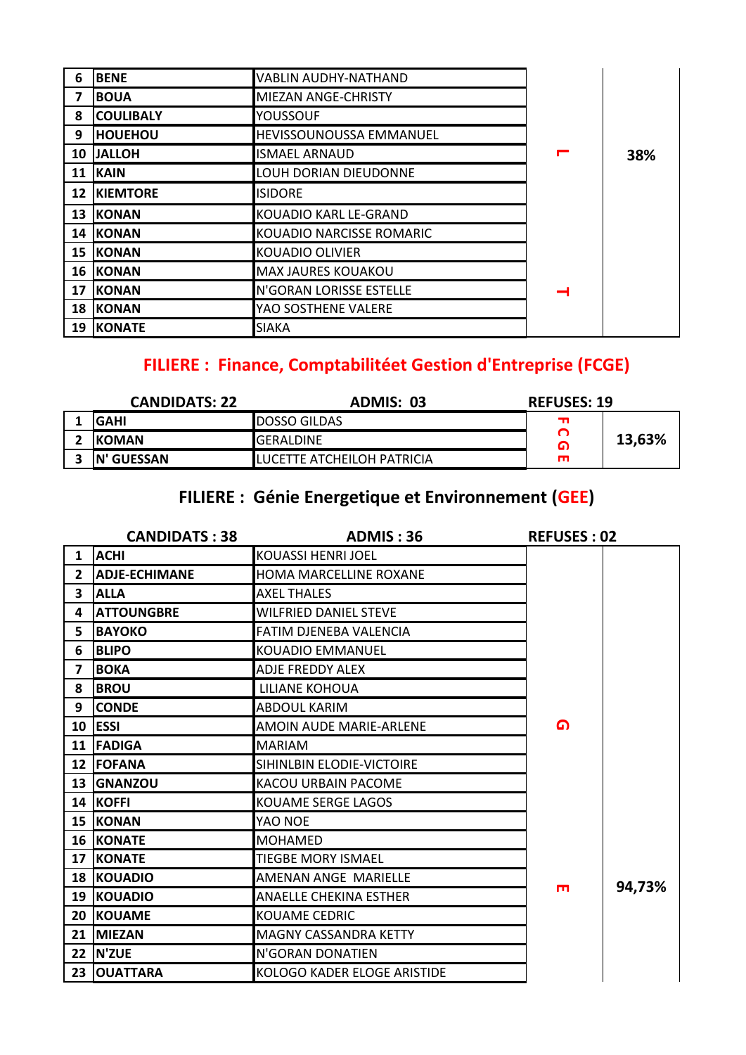| 6               | <b>BENE</b>      | <b>VABLIN AUDHY-NATHAND</b> |   |     |
|-----------------|------------------|-----------------------------|---|-----|
| 7               | <b>BOUA</b>      | <b>MIEZAN ANGE-CHRISTY</b>  |   |     |
| 8               | <b>COULIBALY</b> | <b>YOUSSOUF</b>             |   |     |
| 9               | <b>HOUEHOU</b>   | HEVISSOUNOUSSA EMMANUEL     |   |     |
| 10              | <b>JALLOH</b>    | <b>ISMAEL ARNAUD</b>        | ┍ | 38% |
| 11              | <b>KAIN</b>      | LOUH DORIAN DIEUDONNE       |   |     |
| 12 <sup>2</sup> | <b>KIEMTORE</b>  | <b>ISIDORE</b>              |   |     |
| 13              | <b>KONAN</b>     | KOUADIO KARL LE-GRAND       |   |     |
| 14              | <b>KONAN</b>     | KOUADIO NARCISSE ROMARIC    |   |     |
| 15              | KONAN            | KOUADIO OLIVIER             |   |     |
| 16              | <b>KONAN</b>     | <b>MAX JAURES KOUAKOU</b>   |   |     |
| 17              | <b>KONAN</b>     | N'GORAN LORISSE ESTELLE     |   |     |
| 18              | KONAN            | YAO SOSTHENE VALERE         |   |     |
| 19              | <b>KONATE</b>    | <b>SIAKA</b>                |   |     |

# FILIERE : Finance, Comptabilitéet Gestion d'Entreprise (FCGE)

| <b>CANDIDATS: 22</b> | ADMIS: 03                          | <b>REFUSES: 19</b> |        |
|----------------------|------------------------------------|--------------------|--------|
| IGAHI                | <b>IDOSSO GILDAS</b>               |                    |        |
| <b>IKOMAN</b>        | IGERALDINE                         | G                  | 13,63% |
| <b>IN' GUESSAN</b>   | <b>ILUCETTE ATCHEILOH PATRICIA</b> |                    |        |

## FILIERE : Génie Energetique et Environnement (GEE)

|                         | <b>CANDIDATS: 38</b> | <b>ADMIS: 36</b>              | <b>REFUSES: 02</b> |        |
|-------------------------|----------------------|-------------------------------|--------------------|--------|
| $\mathbf{1}$            | <b>ACHI</b>          | <b>KOUASSI HENRI JOEL</b>     |                    |        |
| $2^{\circ}$             | <b>ADJE-ECHIMANE</b> | HOMA MARCELLINE ROXANE        |                    |        |
| $\overline{\mathbf{3}}$ | <b>ALLA</b>          | <b>AXEL THALES</b>            |                    |        |
| 4                       | <b>ATTOUNGBRE</b>    | <b>WILFRIED DANIEL STEVE</b>  |                    |        |
| 5.                      | <b>BAYOKO</b>        | <b>FATIM DJENEBA VALENCIA</b> |                    |        |
| 6                       | <b>BLIPO</b>         | KOUADIO EMMANUEL              |                    |        |
| $\overline{\mathbf{z}}$ | <b>BOKA</b>          | <b>ADJE FREDDY ALEX</b>       |                    |        |
| 8                       | <b>BROU</b>          | LILIANE KOHOUA                |                    |        |
| 9                       | <b>CONDE</b>         | <b>ABDOUL KARIM</b>           |                    |        |
|                         | 10 ESSI              | AMOIN AUDE MARIE-ARLENE       | ⋒                  |        |
|                         | 11 FADIGA            | <b>MARIAM</b>                 |                    |        |
|                         | 12 FOFANA            | SIHINLBIN ELODIE-VICTOIRE     |                    |        |
|                         | 13 GNANZOU           | KACOU URBAIN PACOME           |                    |        |
|                         | 14 KOFFI             | <b>KOUAME SERGE LAGOS</b>     |                    |        |
|                         | <b>15 KONAN</b>      | YAO NOE                       |                    |        |
|                         | <b>16 KONATE</b>     | <b>MOHAMED</b>                |                    |        |
|                         | <b>17 KONATE</b>     | <b>TIEGBE MORY ISMAEL</b>     |                    |        |
|                         | <b>18 KOUADIO</b>    | AMENAN ANGE MARIELLE          |                    |        |
|                         | <b>19 KOUADIO</b>    | <b>ANAELLE CHEKINA ESTHER</b> | ш                  | 94,73% |
|                         | 20 KOUAME            | <b>KOUAME CEDRIC</b>          |                    |        |
|                         | 21 MIEZAN            | MAGNY CASSANDRA KETTY         |                    |        |
|                         | 22 IN'ZUE            | N'GORAN DONATIEN              |                    |        |
|                         | 23 OUATTARA          | KOLOGO KADER ELOGE ARISTIDE   |                    |        |